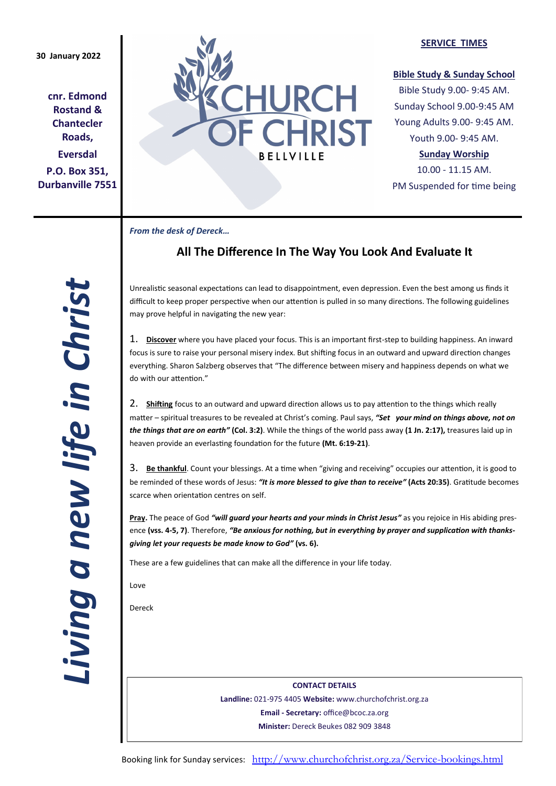**cnr. Edmond Rostand & Chantecler Roads, Eversdal P.O. Box 351, Durbanville 7551**



#### **SERVICE TIMES**

#### **Bible Study & Sunday School**

Bible Study 9.00- 9:45 AM. Sunday School 9.00-9:45 AM Young Adults 9.00- 9:45 AM. Youth 9.00- 9:45 AM.

## **Sunday Worship**

10.00 - 11.15 AM. PM Suspended for time being

*From the desk of Dereck…* 

# **All The Difference In The Way You Look And Evaluate It**

Unrealistic seasonal expectations can lead to disappointment, even depression. Even the best among us finds it difficult to keep proper perspective when our attention is pulled in so many directions. The following guidelines may prove helpful in navigating the new year:

1. **Discover** where you have placed your focus. This is an important first-step to building happiness. An inward focus is sure to raise your personal misery index. But shifting focus in an outward and upward direction changes everything. Sharon Salzberg observes that "The difference between misery and happiness depends on what we do with our attention."

2. **Shifting** focus to an outward and upward direction allows us to pay attention to the things which really matter – spiritual treasures to be revealed at Christ's coming. Paul says, *"Set your mind on things above, not on the things that are on earth"* **(Col. 3:2)**. While the things of the world pass away **(1 Jn. 2:17),** treasures laid up in heaven provide an everlasting foundation for the future **(Mt. 6:19-21)**.

3. **Be thankful**. Count your blessings. At a time when "giving and receiving" occupies our attention, it is good to be reminded of these words of Jesus: *"It is more blessed to give than to receive"* **(Acts 20:35)**. Gratitude becomes scarce when orientation centres on self.

**Pray.** The peace of God *"will guard your hearts and your minds in Christ Jesus"* as you rejoice in His abiding presence **(vss. 4-5, 7)**. Therefore, *"Be anxious for nothing, but in everything by prayer and supplication with thanksgiving let your requests be made know to God"* **(vs. 6).**

These are a few guidelines that can make all the difference in your life today.

Love

Dereck

**CONTACT DETAILS Landline:** 021-975 4405 **Website:** www.churchofchrist.org.za **Email - Secretary:** office@bcoc.za.org **Minister:** Dereck Beukes 082 909 3848